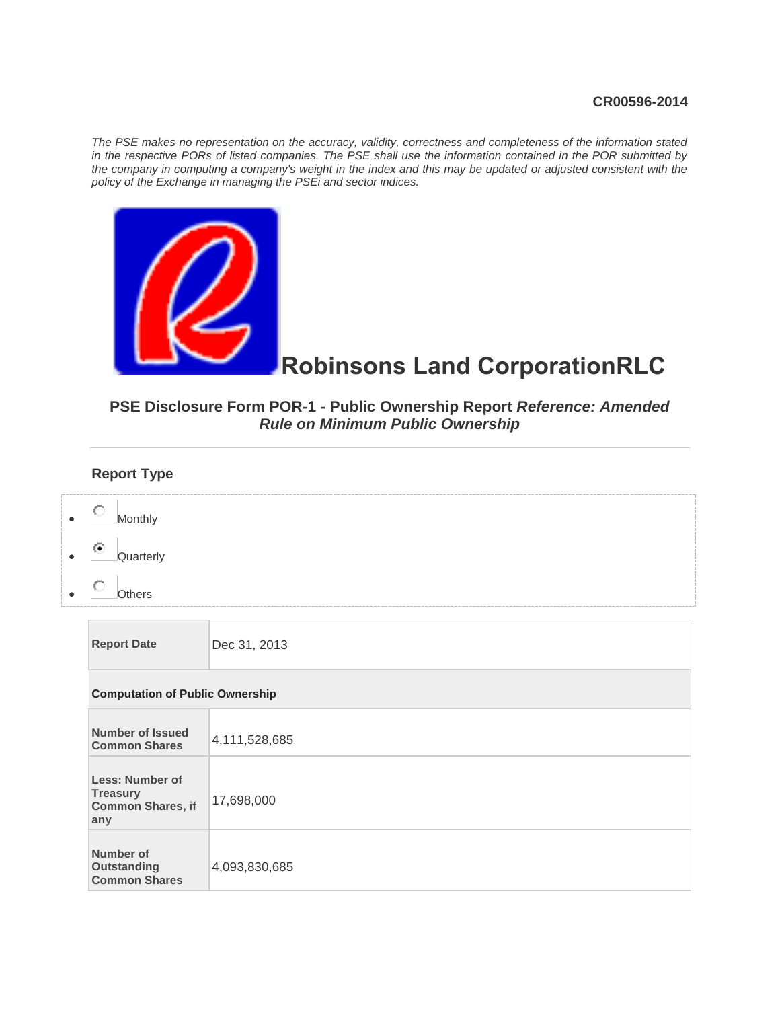#### **CR00596-2014**

*The PSE makes no representation on the accuracy, validity, correctness and completeness of the information stated in the respective PORs of listed companies. The PSE shall use the information contained in the POR submitted by*  the company in computing a company's weight in the index and this may be updated or adjusted consistent with the *policy of the Exchange in managing the PSEi and sector indices.*



# **Robinsons Land CorporationRLC**

## **PSE Disclosure Form POR-1 - Public Ownership Report** *Reference: Amended Rule on Minimum Public Ownership*

## **Report Type**

| О<br>Monthly<br>$\odot$<br>Quarterly<br><b>Others</b>                 |               |
|-----------------------------------------------------------------------|---------------|
| <b>Report Date</b>                                                    | Dec 31, 2013  |
| <b>Computation of Public Ownership</b>                                |               |
| <b>Number of Issued</b><br><b>Common Shares</b>                       | 4,111,528,685 |
| Less: Number of<br><b>Treasury</b><br><b>Common Shares, if</b><br>any | 17,698,000    |
| Number of<br><b>Outstanding</b><br><b>Common Shares</b>               | 4,093,830,685 |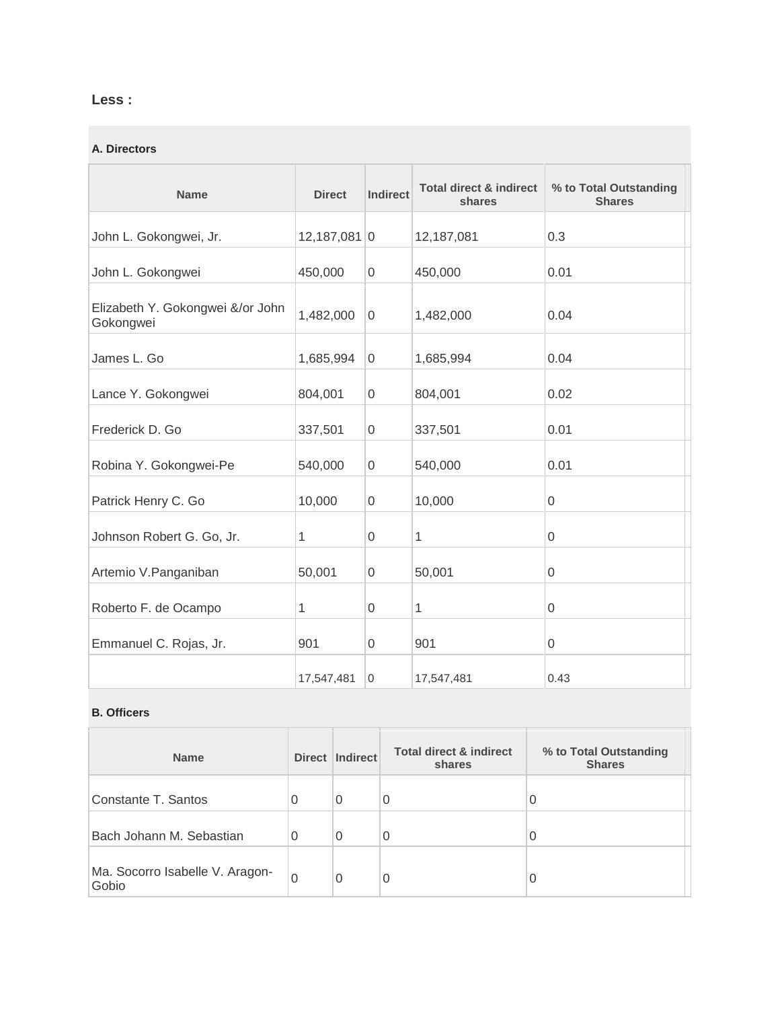## **Less :**

#### **A. Directors**

| <b>Name</b>                                   | <b>Direct</b>  | <b>Indirect</b>  | <b>Total direct &amp; indirect</b><br>shares | % to Total Outstanding<br><b>Shares</b> |
|-----------------------------------------------|----------------|------------------|----------------------------------------------|-----------------------------------------|
| John L. Gokongwei, Jr.                        | $12,187,081$ 0 |                  | 12,187,081                                   | 0.3                                     |
| John L. Gokongwei                             | 450,000        | $\mathbf 0$      | 450,000                                      | 0.01                                    |
| Elizabeth Y. Gokongwei &/or John<br>Gokongwei | 1,482,000      | $\overline{0}$   | 1,482,000                                    | 0.04                                    |
| James L. Go                                   | 1,685,994      | $\overline{0}$   | 1,685,994                                    | 0.04                                    |
| Lance Y. Gokongwei                            | 804,001        | $\mathbf 0$      | 804,001                                      | 0.02                                    |
| Frederick D. Go                               | 337,501        | 0                | 337,501                                      | 0.01                                    |
| Robina Y. Gokongwei-Pe                        | 540,000        | $\mathbf 0$      | 540,000                                      | 0.01                                    |
| Patrick Henry C. Go                           | 10,000         | $\boldsymbol{0}$ | 10,000                                       | 0                                       |
| Johnson Robert G. Go, Jr.                     | 1              | 0                | 1                                            | 0                                       |
| Artemio V. Panganiban                         | 50,001         | 0                | 50,001                                       | 0                                       |
| Roberto F. de Ocampo                          | 1              | $\boldsymbol{0}$ | 1                                            | 0                                       |
| Emmanuel C. Rojas, Jr.                        | 901            | 0                | 901                                          | 0                                       |
|                                               | 17,547,481     | $\mathbf 0$      | 17,547,481                                   | 0.43                                    |

#### **B. Officers**

 $\overline{\phantom{0}}$ 

| <b>Name</b>                              | Direct | Indirect | <b>Total direct &amp; indirect</b><br>shares | % to Total Outstanding<br><b>Shares</b> |
|------------------------------------------|--------|----------|----------------------------------------------|-----------------------------------------|
| Constante T. Santos                      | 0      | 0        | $\overline{0}$                               |                                         |
| Bach Johann M. Sebastian                 | 0      | $\Omega$ | $\overline{0}$                               | 0                                       |
| Ma. Socorro Isabelle V. Aragon-<br>Gobio | 0      | 0        | 0                                            | O                                       |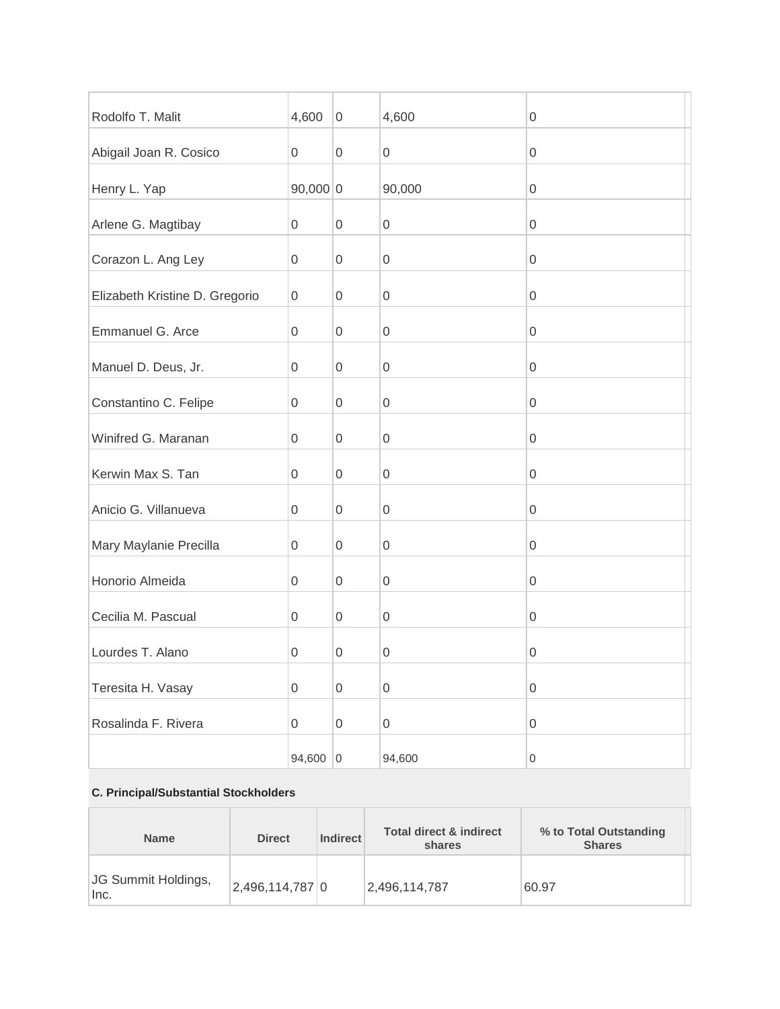| Rodolfo T. Malit               | 4,600            | $\boldsymbol{0}$    | 4,600               | 0                   |
|--------------------------------|------------------|---------------------|---------------------|---------------------|
| Abigail Joan R. Cosico         | $\mathbf 0$      | $\boldsymbol{0}$    | $\mathsf{O}\xspace$ | $\boldsymbol{0}$    |
| Henry L. Yap                   | $90,000$ 0       |                     | 90,000              | $\boldsymbol{0}$    |
| Arlene G. Magtibay             | 0                | $\boldsymbol{0}$    | $\boldsymbol{0}$    | 0                   |
| Corazon L. Ang Ley             | $\boldsymbol{0}$ | $\mathsf 0$         | $\boldsymbol{0}$    | $\boldsymbol{0}$    |
| Elizabeth Kristine D. Gregorio | $\mathbf 0$      | $\boldsymbol{0}$    | $\boldsymbol{0}$    | $\boldsymbol{0}$    |
| Emmanuel G. Arce               | 0                | $\boldsymbol{0}$    | $\boldsymbol{0}$    | 0                   |
| Manuel D. Deus, Jr.            | $\mathbf 0$      | $\boldsymbol{0}$    | $\boldsymbol{0}$    | $\boldsymbol{0}$    |
| Constantino C. Felipe          | $\mathbf 0$      | $\boldsymbol{0}$    | $\boldsymbol{0}$    | $\boldsymbol{0}$    |
| Winifred G. Maranan            | 0                | $\boldsymbol{0}$    | $\boldsymbol{0}$    | 0                   |
| Kerwin Max S. Tan              | $\mathbf 0$      | $\boldsymbol{0}$    | $\mathsf{O}\xspace$ | $\boldsymbol{0}$    |
| Anicio G. Villanueva           | $\mathbf 0$      | $\boldsymbol{0}$    | $\boldsymbol{0}$    | $\boldsymbol{0}$    |
| Mary Maylanie Precilla         | 0                | $\boldsymbol{0}$    | $\boldsymbol{0}$    | 0                   |
| Honorio Almeida                | $\mathbf 0$      | $\boldsymbol{0}$    | $\boldsymbol{0}$    | $\boldsymbol{0}$    |
| Cecilia M. Pascual             | $\mathbf 0$      | $\boldsymbol{0}$    | $\boldsymbol{0}$    | $\boldsymbol{0}$    |
| Lourdes T. Alano               | 0                | $\boldsymbol{0}$    | 0                   | 0                   |
| Teresita H. Vasay              | $\boldsymbol{0}$ | $\mathsf{O}\xspace$ | $\mathsf{O}\xspace$ | $\mathsf 0$         |
| Rosalinda F. Rivera            | $\overline{0}$   | $\boldsymbol{0}$    | $\mathsf{O}\xspace$ | $\mathsf{O}\xspace$ |
|                                | 94,600           | $\overline{0}$      | 94,600              | $\boldsymbol{0}$    |

#### **C. Principal/Substantial Stockholders**

 $\mathbb{R}^2$ 

 $\overline{\phantom{0}}$ 

| <b>Direct</b><br><b>Name</b> |                 | <b>Indirect</b> | <b>Total direct &amp; indirect</b><br>shares | % to Total Outstanding<br><b>Shares</b> |  |
|------------------------------|-----------------|-----------------|----------------------------------------------|-----------------------------------------|--|
| JG Summit Holdings,<br>Inc.  | 2,496,114,787 0 |                 | 2.496.114.787                                | 60.97                                   |  |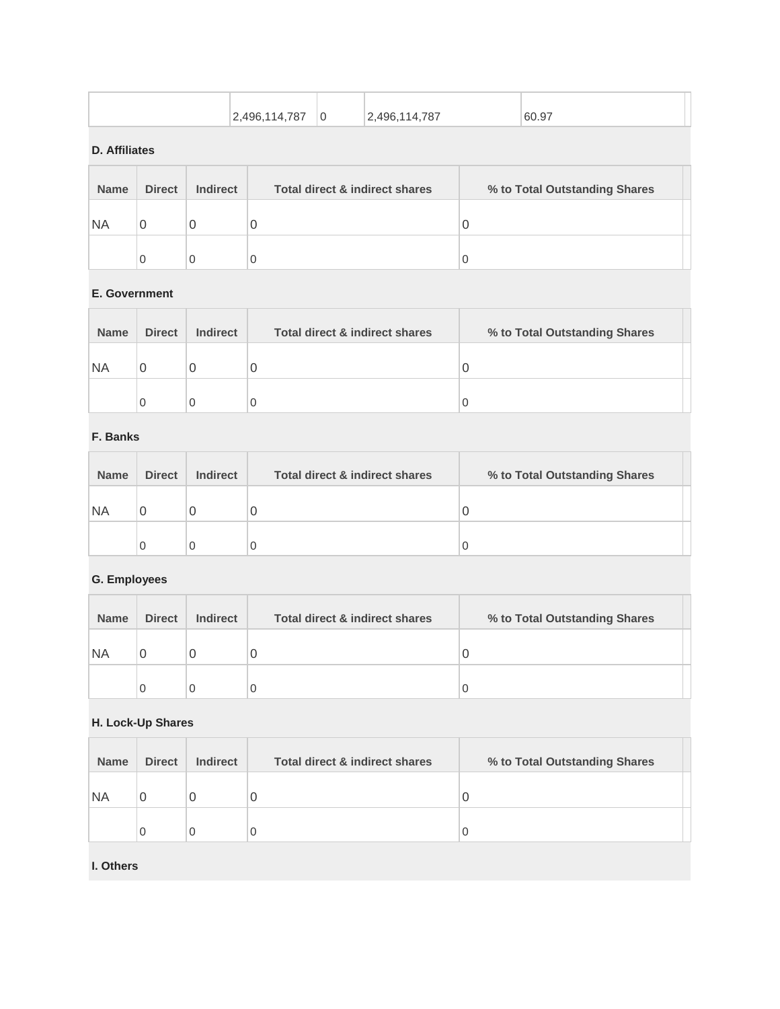| 787<br>.496<br>14<br>$\sim$ | ' G | .496,114,787<br><u>. .</u> | 60.97 |
|-----------------------------|-----|----------------------------|-------|

#### **D. Affiliates**

| <b>Name</b> | <b>Direct</b> | <b>Indirect</b> | Total direct & indirect shares | % to Total Outstanding Shares |  |
|-------------|---------------|-----------------|--------------------------------|-------------------------------|--|
| <b>NA</b>   |               | 0               | O                              | U                             |  |
|             |               | 0               | 0                              |                               |  |

#### **E. Government**

| <b>Name</b> | <b>Direct</b> | <b>Indirect</b> | <b>Total direct &amp; indirect shares</b> | % to Total Outstanding Shares |  |
|-------------|---------------|-----------------|-------------------------------------------|-------------------------------|--|
| <b>NA</b>   |               |                 | U                                         |                               |  |
|             |               |                 | U                                         |                               |  |

## **F. Banks**

| <b>Name</b> | <b>Direct</b> | <b>Indirect</b> | Total direct & indirect shares | % to Total Outstanding Shares |
|-------------|---------------|-----------------|--------------------------------|-------------------------------|
| ΝA          |               |                 |                                |                               |
|             |               |                 |                                |                               |

## **G. Employees**

| <b>Name</b> | <b>Direct</b> | <b>Indirect</b> | <b>Total direct &amp; indirect shares</b> | % to Total Outstanding Shares |
|-------------|---------------|-----------------|-------------------------------------------|-------------------------------|
| <b>NA</b>   | O             | Ü               | 0                                         |                               |
|             | C             |                 | 0                                         |                               |

#### **H. Lock-Up Shares**   $\overline{1}$

| <b>Name</b> | <b>Direct</b> | <b>Indirect</b> | Total direct & indirect shares | % to Total Outstanding Shares |  |
|-------------|---------------|-----------------|--------------------------------|-------------------------------|--|
| 'NA         |               | U               | U                              |                               |  |
|             | 0             |                 | 0                              |                               |  |

### **I. Others**

H